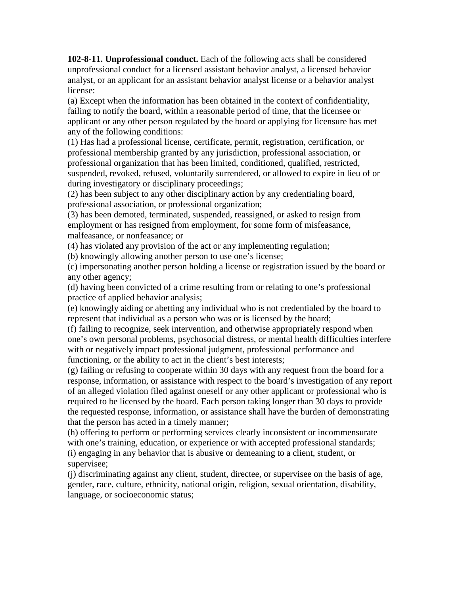**102-8-11. Unprofessional conduct.** Each of the following acts shall be considered unprofessional conduct for a licensed assistant behavior analyst, a licensed behavior analyst, or an applicant for an assistant behavior analyst license or a behavior analyst license:

(a) Except when the information has been obtained in the context of confidentiality, failing to notify the board, within a reasonable period of time, that the licensee or applicant or any other person regulated by the board or applying for licensure has met any of the following conditions:

(1) Has had a professional license, certificate, permit, registration, certification, or professional membership granted by any jurisdiction, professional association, or professional organization that has been limited, conditioned, qualified, restricted, suspended, revoked, refused, voluntarily surrendered, or allowed to expire in lieu of or during investigatory or disciplinary proceedings;

(2) has been subject to any other disciplinary action by any credentialing board, professional association, or professional organization;

(3) has been demoted, terminated, suspended, reassigned, or asked to resign from employment or has resigned from employment, for some form of misfeasance, malfeasance, or nonfeasance; or

(4) has violated any provision of the act or any implementing regulation;

(b) knowingly allowing another person to use one's license;

(c) impersonating another person holding a license or registration issued by the board or any other agency;

(d) having been convicted of a crime resulting from or relating to one's professional practice of applied behavior analysis;

(e) knowingly aiding or abetting any individual who is not credentialed by the board to represent that individual as a person who was or is licensed by the board;

(f) failing to recognize, seek intervention, and otherwise appropriately respond when one's own personal problems, psychosocial distress, or mental health difficulties interfere with or negatively impact professional judgment, professional performance and functioning, or the ability to act in the client's best interests;

(g) failing or refusing to cooperate within 30 days with any request from the board for a response, information, or assistance with respect to the board's investigation of any report of an alleged violation filed against oneself or any other applicant or professional who is required to be licensed by the board. Each person taking longer than 30 days to provide the requested response, information, or assistance shall have the burden of demonstrating that the person has acted in a timely manner;

(h) offering to perform or performing services clearly inconsistent or incommensurate with one's training, education, or experience or with accepted professional standards; (i) engaging in any behavior that is abusive or demeaning to a client, student, or supervisee;

(j) discriminating against any client, student, directee, or supervisee on the basis of age, gender, race, culture, ethnicity, national origin, religion, sexual orientation, disability, language, or socioeconomic status;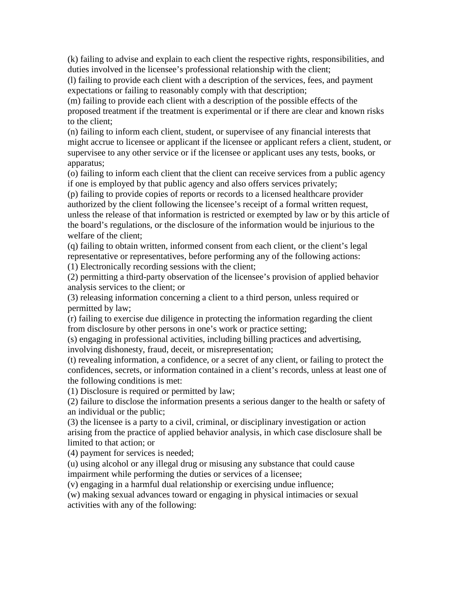(k) failing to advise and explain to each client the respective rights, responsibilities, and duties involved in the licensee's professional relationship with the client;

(l) failing to provide each client with a description of the services, fees, and payment expectations or failing to reasonably comply with that description;

(m) failing to provide each client with a description of the possible effects of the proposed treatment if the treatment is experimental or if there are clear and known risks to the client;

(n) failing to inform each client, student, or supervisee of any financial interests that might accrue to licensee or applicant if the licensee or applicant refers a client, student, or supervisee to any other service or if the licensee or applicant uses any tests, books, or apparatus;

(o) failing to inform each client that the client can receive services from a public agency if one is employed by that public agency and also offers services privately;

(p) failing to provide copies of reports or records to a licensed healthcare provider authorized by the client following the licensee's receipt of a formal written request, unless the release of that information is restricted or exempted by law or by this article of the board's regulations, or the disclosure of the information would be injurious to the welfare of the client;

(q) failing to obtain written, informed consent from each client, or the client's legal representative or representatives, before performing any of the following actions:

(1) Electronically recording sessions with the client;

(2) permitting a third-party observation of the licensee's provision of applied behavior analysis services to the client; or

(3) releasing information concerning a client to a third person, unless required or permitted by law;

(r) failing to exercise due diligence in protecting the information regarding the client from disclosure by other persons in one's work or practice setting;

(s) engaging in professional activities, including billing practices and advertising, involving dishonesty, fraud, deceit, or misrepresentation;

(t) revealing information, a confidence, or a secret of any client, or failing to protect the confidences, secrets, or information contained in a client's records, unless at least one of the following conditions is met:

(1) Disclosure is required or permitted by law;

(2) failure to disclose the information presents a serious danger to the health or safety of an individual or the public;

(3) the licensee is a party to a civil, criminal, or disciplinary investigation or action arising from the practice of applied behavior analysis, in which case disclosure shall be limited to that action; or

(4) payment for services is needed;

(u) using alcohol or any illegal drug or misusing any substance that could cause impairment while performing the duties or services of a licensee;

(v) engaging in a harmful dual relationship or exercising undue influence;

(w) making sexual advances toward or engaging in physical intimacies or sexual activities with any of the following: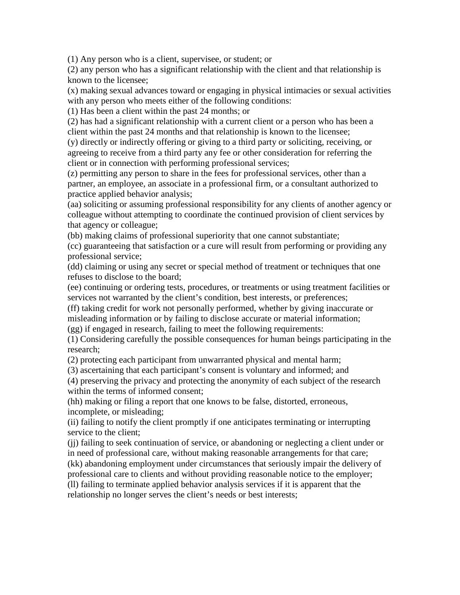(1) Any person who is a client, supervisee, or student; or

(2) any person who has a significant relationship with the client and that relationship is known to the licensee;

(x) making sexual advances toward or engaging in physical intimacies or sexual activities with any person who meets either of the following conditions:

(1) Has been a client within the past 24 months; or

(2) has had a significant relationship with a current client or a person who has been a client within the past 24 months and that relationship is known to the licensee;

(y) directly or indirectly offering or giving to a third party or soliciting, receiving, or agreeing to receive from a third party any fee or other consideration for referring the client or in connection with performing professional services;

(z) permitting any person to share in the fees for professional services, other than a partner, an employee, an associate in a professional firm, or a consultant authorized to practice applied behavior analysis;

(aa) soliciting or assuming professional responsibility for any clients of another agency or colleague without attempting to coordinate the continued provision of client services by that agency or colleague;

(bb) making claims of professional superiority that one cannot substantiate;

(cc) guaranteeing that satisfaction or a cure will result from performing or providing any professional service;

(dd) claiming or using any secret or special method of treatment or techniques that one refuses to disclose to the board;

(ee) continuing or ordering tests, procedures, or treatments or using treatment facilities or services not warranted by the client's condition, best interests, or preferences;

(ff) taking credit for work not personally performed, whether by giving inaccurate or misleading information or by failing to disclose accurate or material information;

(gg) if engaged in research, failing to meet the following requirements:

(1) Considering carefully the possible consequences for human beings participating in the research;

(2) protecting each participant from unwarranted physical and mental harm;

(3) ascertaining that each participant's consent is voluntary and informed; and

(4) preserving the privacy and protecting the anonymity of each subject of the research within the terms of informed consent;

(hh) making or filing a report that one knows to be false, distorted, erroneous, incomplete, or misleading;

(ii) failing to notify the client promptly if one anticipates terminating or interrupting service to the client;

(jj) failing to seek continuation of service, or abandoning or neglecting a client under or in need of professional care, without making reasonable arrangements for that care; (kk) abandoning employment under circumstances that seriously impair the delivery of professional care to clients and without providing reasonable notice to the employer; (ll) failing to terminate applied behavior analysis services if it is apparent that the relationship no longer serves the client's needs or best interests;